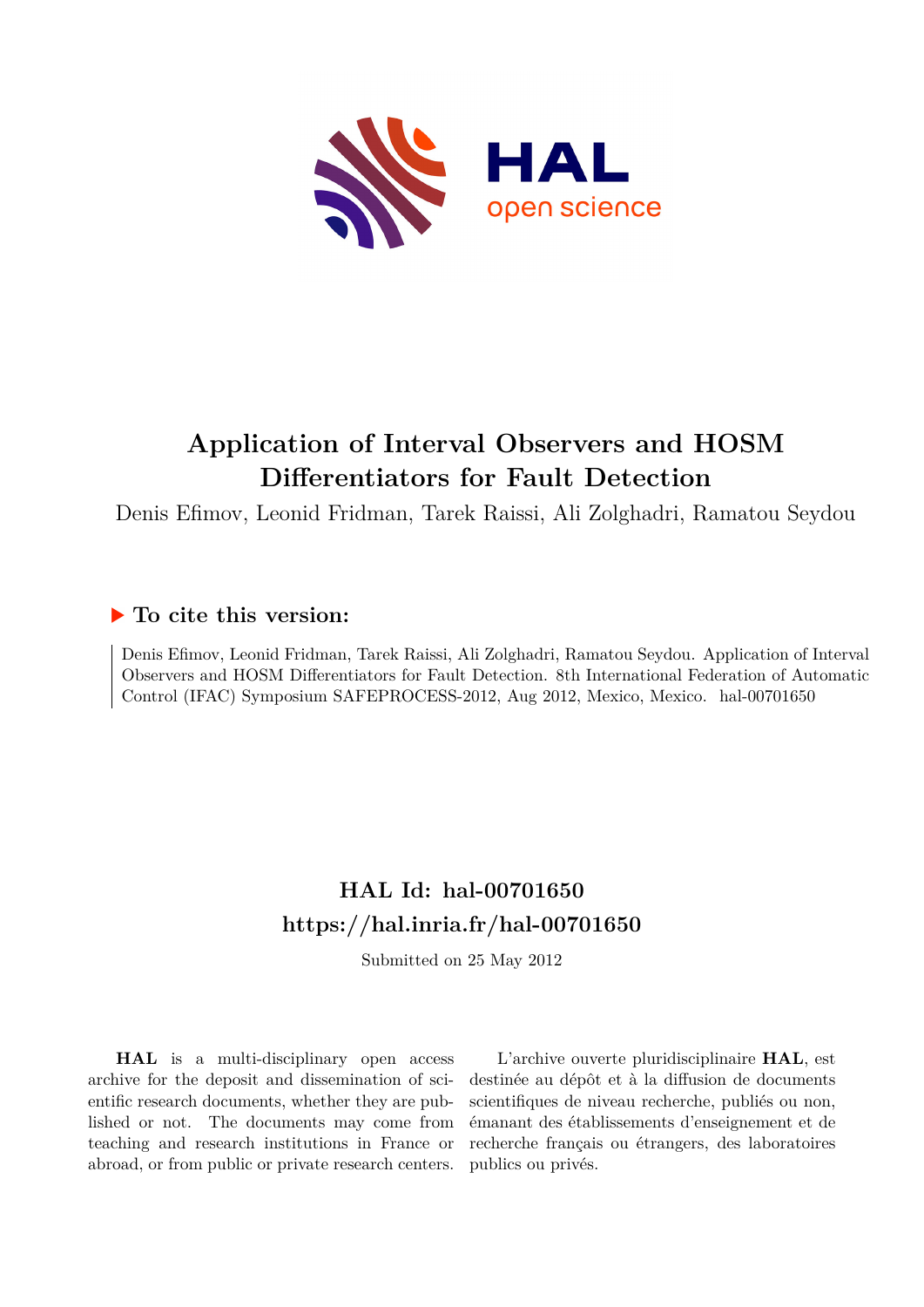

# **Application of Interval Observers and HOSM Differentiators for Fault Detection**

Denis Efimov, Leonid Fridman, Tarek Raissi, Ali Zolghadri, Ramatou Seydou

## **To cite this version:**

Denis Efimov, Leonid Fridman, Tarek Raissi, Ali Zolghadri, Ramatou Seydou. Application of Interval Observers and HOSM Differentiators for Fault Detection. 8th International Federation of Automatic Control (IFAC) Symposium SAFEPROCESS-2012, Aug 2012, Mexico, Mexico. hal-00701650

## **HAL Id: hal-00701650 <https://hal.inria.fr/hal-00701650>**

Submitted on 25 May 2012

**HAL** is a multi-disciplinary open access archive for the deposit and dissemination of scientific research documents, whether they are published or not. The documents may come from teaching and research institutions in France or abroad, or from public or private research centers.

L'archive ouverte pluridisciplinaire **HAL**, est destinée au dépôt et à la diffusion de documents scientifiques de niveau recherche, publiés ou non, émanant des établissements d'enseignement et de recherche français ou étrangers, des laboratoires publics ou privés.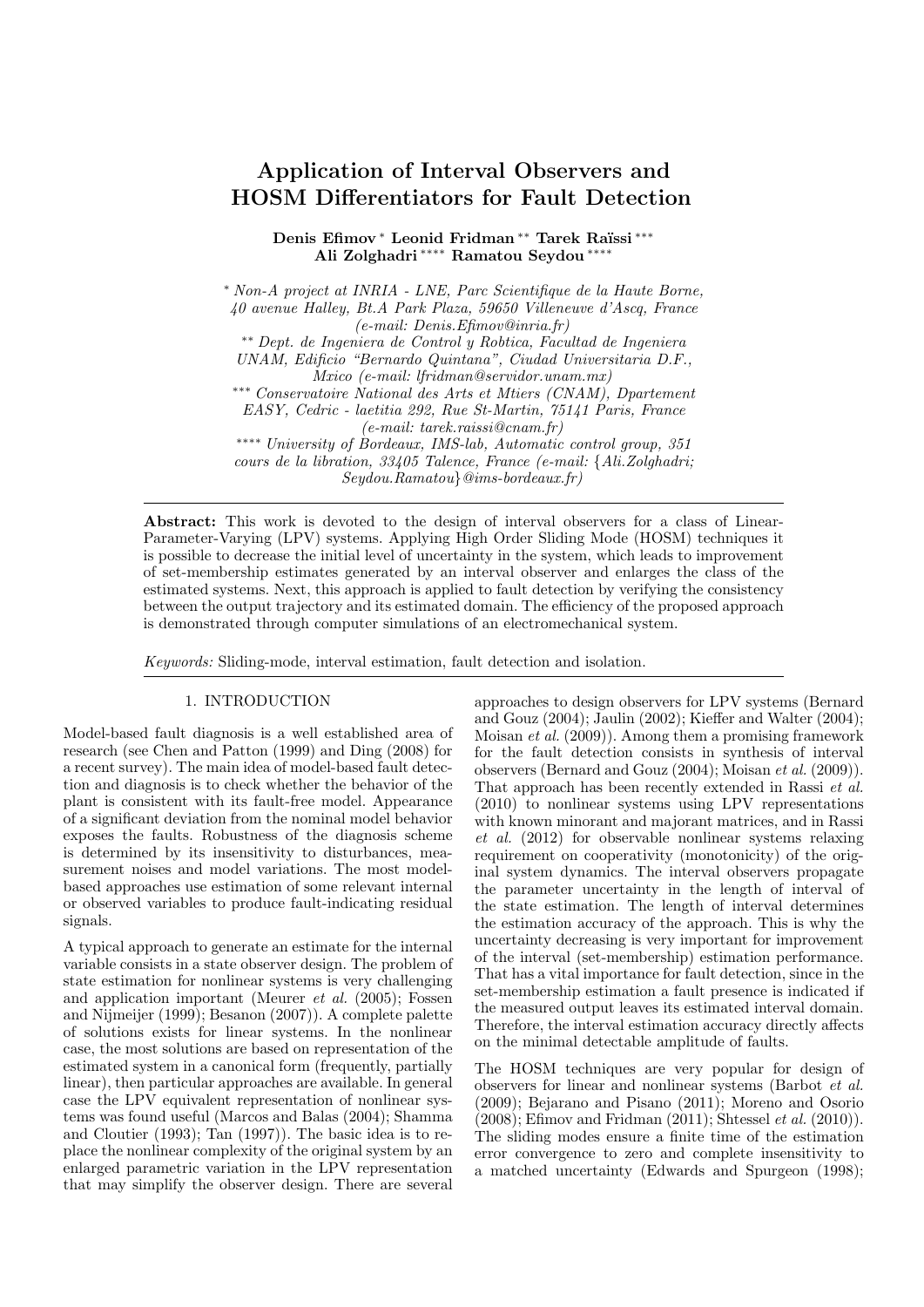### Application of Interval Observers and HOSM Differentiators for Fault Detection

Denis Efimov \* Leonid Fridman \*\* Tarek Raïssi \*\*\* Ali Zolghadri ∗∗∗∗ Ramatou Seydou ∗∗∗∗

<sup>∗</sup> Non-A project at INRIA - LNE, Parc Scientifique de la Haute Borne, 40 avenue Halley, Bt.A Park Plaza, 59650 Villeneuve d'Ascq, France (e-mail: Denis.Efimov@inria.fr) ∗∗ Dept. de Ingeniera de Control y Robtica, Facultad de Ingeniera UNAM, Edificio "Bernardo Quintana", Ciudad Universitaria D.F., Mxico (e-mail: lfridman@servidor.unam.mx) ∗∗∗ Conservatoire National des Arts et Mtiers (CNAM), Dpartement EASY, Cedric - laetitia 292, Rue St-Martin, 75141 Paris, France (e-mail: tarek.raissi@cnam.fr) ∗∗∗∗ University of Bordeaux, IMS-lab, Automatic control group, 351 cours de la libration, 33405 Talence, France (e-mail: {Ali.Zolghadri; Seydou.Ramatou}@ims-bordeaux.fr)

Abstract: This work is devoted to the design of interval observers for a class of Linear-Parameter-Varying (LPV) systems. Applying High Order Sliding Mode (HOSM) techniques it is possible to decrease the initial level of uncertainty in the system, which leads to improvement of set-membership estimates generated by an interval observer and enlarges the class of the estimated systems. Next, this approach is applied to fault detection by verifying the consistency between the output trajectory and its estimated domain. The efficiency of the proposed approach is demonstrated through computer simulations of an electromechanical system.

Keywords: Sliding-mode, interval estimation, fault detection and isolation.

#### 1. INTRODUCTION

Model-based fault diagnosis is a well established area of research (see Chen and Patton (1999) and Ding (2008) for a recent survey). The main idea of model-based fault detection and diagnosis is to check whether the behavior of the plant is consistent with its fault-free model. Appearance of a significant deviation from the nominal model behavior exposes the faults. Robustness of the diagnosis scheme is determined by its insensitivity to disturbances, measurement noises and model variations. The most modelbased approaches use estimation of some relevant internal or observed variables to produce fault-indicating residual signals.

A typical approach to generate an estimate for the internal variable consists in a state observer design. The problem of state estimation for nonlinear systems is very challenging and application important (Meurer et al. (2005); Fossen and Nijmeijer (1999); Besanon (2007)). A complete palette of solutions exists for linear systems. In the nonlinear case, the most solutions are based on representation of the estimated system in a canonical form (frequently, partially linear), then particular approaches are available. In general case the LPV equivalent representation of nonlinear systems was found useful (Marcos and Balas (2004); Shamma and Cloutier (1993); Tan (1997)). The basic idea is to replace the nonlinear complexity of the original system by an enlarged parametric variation in the LPV representation that may simplify the observer design. There are several

approaches to design observers for LPV systems (Bernard and Gouz (2004); Jaulin (2002); Kieffer and Walter (2004); Moisan et al. (2009)). Among them a promising framework for the fault detection consists in synthesis of interval observers (Bernard and Gouz (2004); Moisan et al. (2009)). That approach has been recently extended in Rassi et al. (2010) to nonlinear systems using LPV representations with known minorant and majorant matrices, and in Rassi et al. (2012) for observable nonlinear systems relaxing requirement on cooperativity (monotonicity) of the original system dynamics. The interval observers propagate the parameter uncertainty in the length of interval of the state estimation. The length of interval determines the estimation accuracy of the approach. This is why the uncertainty decreasing is very important for improvement of the interval (set-membership) estimation performance. That has a vital importance for fault detection, since in the set-membership estimation a fault presence is indicated if the measured output leaves its estimated interval domain. Therefore, the interval estimation accuracy directly affects on the minimal detectable amplitude of faults.

The HOSM techniques are very popular for design of observers for linear and nonlinear systems (Barbot et al. (2009); Bejarano and Pisano (2011); Moreno and Osorio  $(2008)$ : Efimov and Fridman  $(2011)$ : Shtessel *et al.*  $(2010)$ ). The sliding modes ensure a finite time of the estimation error convergence to zero and complete insensitivity to a matched uncertainty (Edwards and Spurgeon (1998);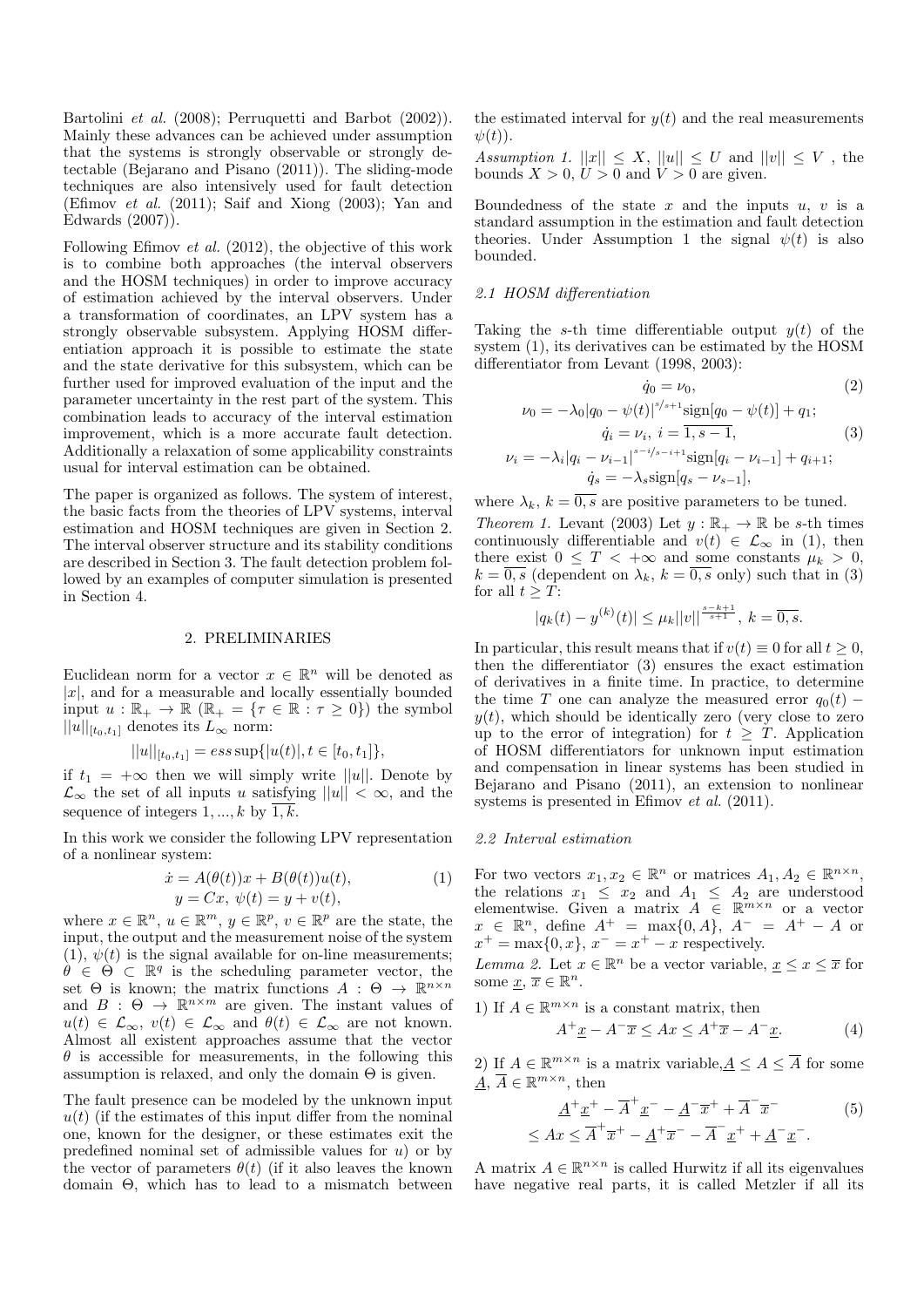Bartolini et al. (2008); Perruquetti and Barbot (2002)). Mainly these advances can be achieved under assumption that the systems is strongly observable or strongly detectable (Bejarano and Pisano (2011)). The sliding-mode techniques are also intensively used for fault detection (Efimov et al. (2011); Saif and Xiong (2003); Yan and Edwards (2007)).

Following Efimov et al. (2012), the objective of this work is to combine both approaches (the interval observers and the HOSM techniques) in order to improve accuracy of estimation achieved by the interval observers. Under a transformation of coordinates, an LPV system has a strongly observable subsystem. Applying HOSM differentiation approach it is possible to estimate the state and the state derivative for this subsystem, which can be further used for improved evaluation of the input and the parameter uncertainty in the rest part of the system. This combination leads to accuracy of the interval estimation improvement, which is a more accurate fault detection. Additionally a relaxation of some applicability constraints usual for interval estimation can be obtained.

The paper is organized as follows. The system of interest, the basic facts from the theories of LPV systems, interval estimation and HOSM techniques are given in Section 2. The interval observer structure and its stability conditions are described in Section 3. The fault detection problem followed by an examples of computer simulation is presented in Section 4.

#### 2. PRELIMINARIES

Euclidean norm for a vector  $x \in \mathbb{R}^n$  will be denoted as  $|x|$ , and for a measurable and locally essentially bounded input  $u : \mathbb{R}_+ \to \mathbb{R}$  ( $\mathbb{R}_+ = \{\tau \in \mathbb{R} : \tau \geq 0\}$ ) the symbol  $||u||_{[t_0,t_1]}$  denotes its  $L_{\infty}$  norm:

$$
||u||_{[t_0,t_1]} = ess \sup{ |u(t)|, t \in [t_0,t_1] } ,
$$

if  $t_1 = +\infty$  then we will simply write  $||u||$ . Denote by  $\mathcal{L}_{\infty}$  the set of all inputs u satisfying  $||u|| < \infty$ , and the sequence of integers  $1, ..., k$  by  $\overline{1, k}$ .

In this work we consider the following LPV representation of a nonlinear system:

$$
\begin{aligned} \dot{x} &= A(\theta(t))x + B(\theta(t))u(t), \\ y &= Cx, \ \psi(t) = y + v(t), \end{aligned} \tag{1}
$$

where  $x \in \mathbb{R}^n$ ,  $u \in \mathbb{R}^m$ ,  $y \in \mathbb{R}^p$ ,  $v \in \mathbb{R}^p$  are the state, the input, the output and the measurement noise of the system  $(1), \psi(t)$  is the signal available for on-line measurements;  $\hat{\theta} \in \Theta \subset \mathbb{R}^q$  is the scheduling parameter vector, the set  $\Theta$  is known; the matrix functions  $A : \Theta \to \mathbb{R}^{n \times n}$ and  $B : \Theta \to \mathbb{R}^{n \times m}$  are given. The instant values of  $u(t) \in \mathcal{L}_{\infty}, v(t) \in \mathcal{L}_{\infty}$  and  $\theta(t) \in \mathcal{L}_{\infty}$  are not known. Almost all existent approaches assume that the vector  $\theta$  is accessible for measurements, in the following this assumption is relaxed, and only the domain  $\Theta$  is given.

The fault presence can be modeled by the unknown input  $u(t)$  (if the estimates of this input differ from the nominal one, known for the designer, or these estimates exit the predefined nominal set of admissible values for  $u$ ) or by the vector of parameters  $\theta(t)$  (if it also leaves the known domain Θ, which has to lead to a mismatch between the estimated interval for  $y(t)$  and the real measurements  $\psi(t)$ ).

Assumption 1.  $||x|| \leq X$ ,  $||u|| \leq U$  and  $||v|| \leq V$ , the bounds  $X > 0$ ,  $U > 0$  and  $V > 0$  are given.

Boundedness of the state  $x$  and the inputs  $u, v$  is a standard assumption in the estimation and fault detection theories. Under Assumption 1 the signal  $\psi(t)$  is also bounded.

#### 2.1 HOSM differentiation

Taking the s-th time differentiable output  $y(t)$  of the system (1), its derivatives can be estimated by the HOSM differentiator from Levant (1998, 2003):

$$
\dot{q}_0 = \nu_0,\tag{2}
$$

$$
\nu_0 = -\lambda_0 |q_0 - \psi(t)|^{s/s+1} \text{sign}[q_0 - \psi(t)] + q_1;
$$
  
\n
$$
\dot{q}_i = \nu_i, \ i = \overline{1, s-1},
$$
  
\n
$$
\nu_i = -\lambda_i |q_i - \nu_{i-1}|^{s-i/s-i+1} \text{sign}[q_i - \nu_{i-1}] + q_{i+1};
$$
  
\n
$$
\dot{q}_s = -\lambda_s \text{sign}[q_s - \nu_{s-1}],
$$
\n(3)

where  $\lambda_k$ ,  $k = \overline{0,s}$  are positive parameters to be tuned.

Theorem 1. Levant (2003) Let  $y : \mathbb{R}_+ \to \mathbb{R}$  be s-th times continuously differentiable and  $v(t) \in \mathcal{L}_{\infty}$  in (1), then there exist  $0 \leq T < +\infty$  and some constants  $\mu_k > 0$ ,  $k = \overline{0, s}$  (dependent on  $\lambda_k, k = \overline{0, s}$  only) such that in (3) for all  $t > T$ :

$$
|q_k(t) - y^{(k)}(t)| \le \mu_k ||v||^{\frac{s-k+1}{s+1}}, \ k = \overline{0, s}.
$$

In particular, this result means that if  $v(t) \equiv 0$  for all  $t \geq 0$ , then the differentiator (3) ensures the exact estimation of derivatives in a finite time. In practice, to determine the time T one can analyze the measured error  $q_0(t)$  –  $y(t)$ , which should be identically zero (very close to zero up to the error of integration) for  $t \geq T$ . Application of HOSM differentiators for unknown input estimation and compensation in linear systems has been studied in Bejarano and Pisano (2011), an extension to nonlinear systems is presented in Efimov et al. (2011).

#### 2.2 Interval estimation

For two vectors  $x_1, x_2 \in \mathbb{R}^n$  or matrices  $A_1, A_2 \in \mathbb{R}^{n \times n}$ , the relations  $x_1 \leq x_2$  and  $A_1 \leq A_2$  are understood elementwise. Given a matrix  $A \in \mathbb{R}^{m \times n}$  or a vector  $x \in \mathbb{R}^n$ , define  $A^+ = \max\{0, A\}$ ,  $A^- = A^+ - A$  or  $x^+ = \max\{0, x\}, x^- = x^+ - x$  respectively.

Lemma 2. Let  $x \in \mathbb{R}^n$  be a vector variable,  $\underline{x} \leq x \leq \overline{x}$  for some  $\underline{x}, \overline{x} \in \mathbb{R}^n$ .

1) If  $A \in \mathbb{R}^{m \times n}$  is a constant matrix, then

$$
A^{+}\underline{x} - A^{-}\overline{x} \leq Ax \leq A^{+}\overline{x} - A^{-}\underline{x}.
$$
 (4)

2) If  $A \in \mathbb{R}^{m \times n}$  is a matrix variable,  $\underline{A} \leq A \leq \overline{A}$  for some  $\underline{A}, \overline{A} \in \mathbb{R}^{m \times n}$ , then

$$
\underline{A}^+ \underline{x}^+ - \overline{A}^+ \underline{x}^- - \underline{A}^- \overline{x}^+ + \overline{A}^- \overline{x}^-
$$
\n
$$
\leq Ax \leq \overline{A}^+ \overline{x}^+ - \underline{A}^+ \overline{x}^- - \overline{A}^- \underline{x}^+ + \underline{A}^- \underline{x}^-.
$$
\n(5)

A matrix  $A \in \mathbb{R}^{n \times n}$  is called Hurwitz if all its eigenvalues have negative real parts, it is called Metzler if all its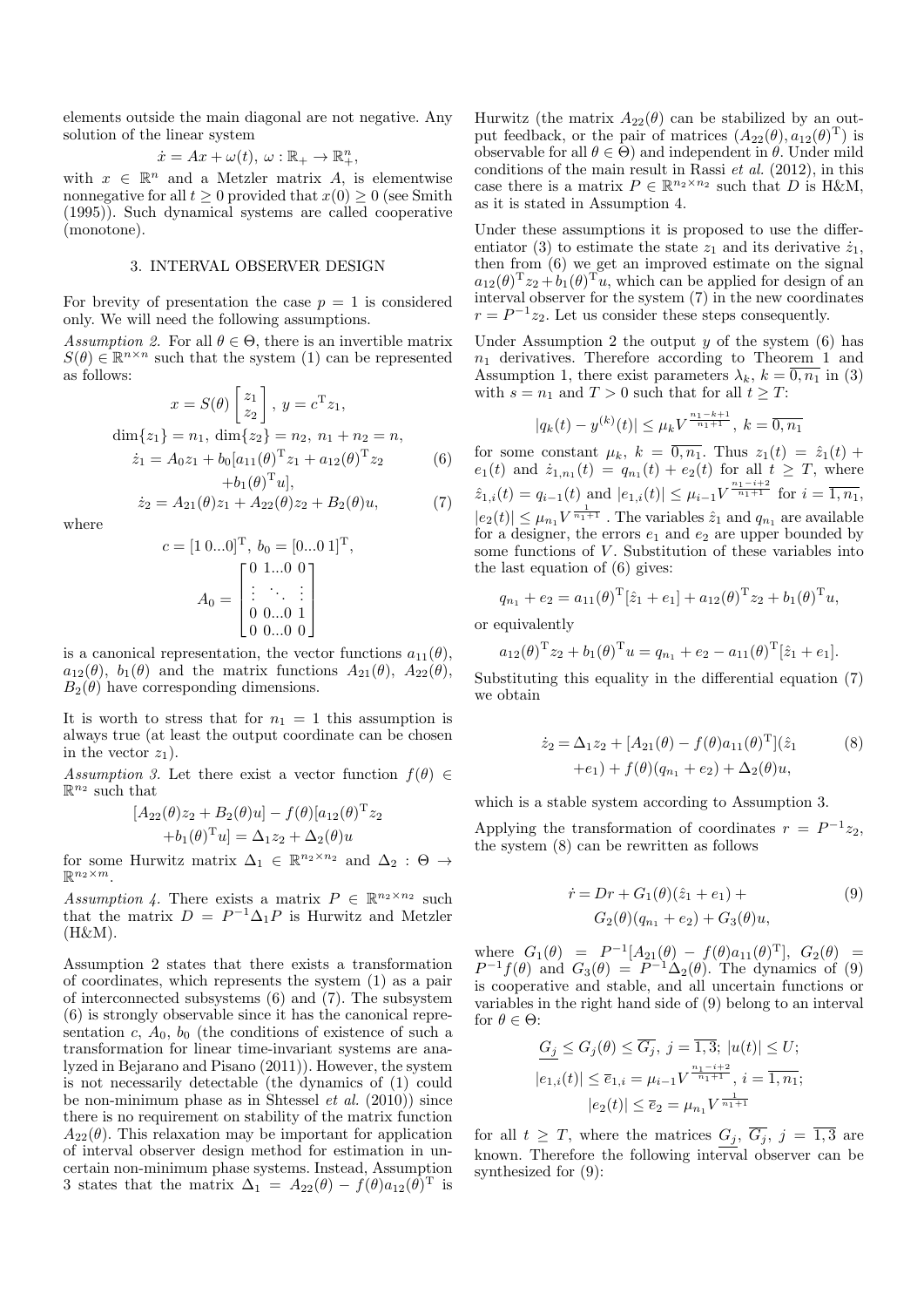elements outside the main diagonal are not negative. Any solution of the linear system

$$
\dot{x} = Ax + \omega(t), \ \omega : \mathbb{R}_+ \to \mathbb{R}_+^n,
$$

with  $x \in \mathbb{R}^n$  and a Metzler matrix A, is elementwise nonnegative for all  $t \geq 0$  provided that  $x(0) \geq 0$  (see Smith (1995)). Such dynamical systems are called cooperative (monotone).

#### 3. INTERVAL OBSERVER DESIGN

For brevity of presentation the case  $p = 1$  is considered only. We will need the following assumptions.

Assumption 2. For all  $\theta \in \Theta$ , there is an invertible matrix  $S(\theta) \in \mathbb{R}^{n \times n}$  such that the system (1) can be represented as follows:

$$
x = S(\theta) \begin{bmatrix} z_1 \\ z_2 \end{bmatrix}, y = c^{\mathrm{T}} z_1,
$$
  
\n
$$
\dim\{z_1\} = n_1, \ \dim\{z_2\} = n_2, n_1 + n_2 = n,
$$
  
\n
$$
\dot{z}_1 = A_0 z_1 + b_0 [a_{11}(\theta)^{\mathrm{T}} z_1 + a_{12}(\theta)^{\mathrm{T}} z_2]
$$
\n
$$
+ b_1(\theta)^{\mathrm{T}} u],
$$
\n(6)

 $\dot{z}_2 = A_{21}(\theta)z_1 + A_{22}(\theta)z_2 + B_2(\theta)u,$  (7)

where

$$
c = [1 \ 0...0]^{\mathrm{T}}, \ b_0 = [0...0 \ 1]^{\mathrm{T}},
$$

$$
A_0 = \begin{bmatrix} 0 & 1...0 & 0 \\ \vdots & \ddots & \vdots \\ 0 & 0...0 & 1 \\ 0 & 0...0 & 0 \end{bmatrix}
$$

is a canonical representation, the vector functions  $a_{11}(\theta)$ ,  $a_{12}(\theta)$ ,  $b_1(\theta)$  and the matrix functions  $A_{21}(\theta)$ ,  $A_{22}(\theta)$ ,  $B_2(\theta)$  have corresponding dimensions.

It is worth to stress that for  $n_1 = 1$  this assumption is always true (at least the output coordinate can be chosen in the vector  $z_1$ ).

Assumption 3. Let there exist a vector function  $f(\theta) \in$  $\mathbb{R}^{n_2}$  such that

$$
[A_{22}(\theta)z_2 + B_2(\theta)u] - f(\theta)[a_{12}(\theta)^{\mathrm{T}}z_2
$$
  
+ $b_1(\theta)^{\mathrm{T}}u] = \Delta_1 z_2 + \Delta_2(\theta)u$ 

for some Hurwitz matrix  $\Delta_1 \in \mathbb{R}^{n_2 \times n_2}$  and  $\Delta_2 : \Theta \to$  $\mathbb{R}^{n_2 \times m}$ .

Assumption 4. There exists a matrix  $P \in \mathbb{R}^{n_2 \times n_2}$  such that the matrix  $D = P^{-1} \Delta_1 P$  is Hurwitz and Metzler (H&M).

Assumption 2 states that there exists a transformation of coordinates, which represents the system (1) as a pair of interconnected subsystems (6) and (7). The subsystem (6) is strongly observable since it has the canonical representation c,  $A_0$ ,  $b_0$  (the conditions of existence of such a transformation for linear time-invariant systems are analyzed in Bejarano and Pisano (2011)). However, the system is not necessarily detectable (the dynamics of (1) could be non-minimum phase as in Shtessel *et al.*  $(2010)$  since there is no requirement on stability of the matrix function  $A_{22}(\theta)$ . This relaxation may be important for application of interval observer design method for estimation in uncertain non-minimum phase systems. Instead, Assumption 3 states that the matrix  $\Delta_1 = A_{22}(\theta) - f(\theta)a_{12}(\theta)^T$  is

Hurwitz (the matrix  $A_{22}(\theta)$  can be stabilized by an output feedback, or the pair of matrices  $(A_{22}(\theta), a_{12}(\theta)^T)$  is observable for all  $\theta \in \Theta$ ) and independent in  $\theta$ . Under mild conditions of the main result in Rassi et al. (2012), in this case there is a matrix  $P \in \mathbb{R}^{n_2 \times n_2}$  such that D is H&M, as it is stated in Assumption 4.

Under these assumptions it is proposed to use the differentiator (3) to estimate the state  $z_1$  and its derivative  $\dot{z}_1$ , then from (6) we get an improved estimate on the signal  $a_{12}(\theta)^{T}z_2 + b_1(\theta)^{T}u$ , which can be applied for design of an interval observer for the system (7) in the new coordinates  $r = P^{-1}z_2$ . Let us consider these steps consequently.

Under Assumption 2 the output  $y$  of the system  $(6)$  has  $n_1$  derivatives. Therefore according to Theorem 1 and Assumption 1, there exist parameters  $\lambda_k$ ,  $k = \overline{0, n_1}$  in (3) with  $s = n_1$  and  $T > 0$  such that for all  $t \geq T$ :

$$
|q_k(t) - y^{(k)}(t)| \le \mu_k V^{\frac{n_1 - k + 1}{n_1 + 1}}, \ k = \overline{0, n_1}
$$

for some constant  $\mu_k$ ,  $k = \overline{0, n_1}$ . Thus  $z_1(t) = \hat{z}_1(t) +$  $e_1(t)$  and  $\dot{z}_{1,n_1}(t) = q_{n_1}(t) + e_2(t)$  for all  $t \geq T$ , where  $\hat{z}_{1,i}(t) = q_{i-1}(t)$  and  $|e_{1,i}(t)| \leq \mu_{i-1} V^{\frac{n_1-i+2}{n_1+1}}$  for  $i = \overline{1,n_1}$ ,  $|e_2(t)| \leq \mu_{n_1} V^{\frac{1}{n_1+1}}$ . The variables  $\hat{z}_1$  and  $q_{n_1}$  are available for a designer, the errors  $e_1$  and  $e_2$  are upper bounded by some functions of  $V$ . Substitution of these variables into the last equation of (6) gives:

$$
q_{n_1} + e_2 = a_{11}(\theta)^{\mathrm{T}}[\hat{z}_1 + e_1] + a_{12}(\theta)^{\mathrm{T}} z_2 + b_1(\theta)^{\mathrm{T}} u,
$$

or equivalently

$$
a_{12}(\theta)^{T} z_2 + b_1(\theta)^{T} u = q_{n_1} + e_2 - a_{11}(\theta)^{T} [\hat{z}_1 + e_1].
$$

Substituting this equality in the differential equation (7) we obtain

$$
\dot{z}_2 = \Delta_1 z_2 + [A_{21}(\theta) - f(\theta)a_{11}(\theta)^T](\hat{z}_1)
$$
  
+e<sub>1</sub>) + f(\theta)(q<sub>n<sub>1</sub></sub> + e<sub>2</sub>) + \Delta<sub>2</sub>(\theta)u, (8)

which is a stable system according to Assumption 3.

Applying the transformation of coordinates  $r = P^{-1}z_2$ , the system (8) can be rewritten as follows

$$
\dot{r} = Dr + G_1(\theta)(\hat{z}_1 + e_1) +
$$
  
\n
$$
G_2(\theta)(q_{n_1} + e_2) + G_3(\theta)u,
$$
\n(9)

where  $G_1(\theta) = P^{-1}[A_{21}(\theta) - f(\theta)a_{11}(\theta)^T], G_2(\theta) =$  $P^{-1}f(\theta)$  and  $G_3(\theta) = P^{-1}\Delta_2(\theta)$ . The dynamics of (9) is cooperative and stable, and all uncertain functions or variables in the right hand side of (9) belong to an interval for  $\theta \in \Theta$ :

$$
G_j \le G_j(\theta) \le \overline{G_j}, \ j = \overline{1,3}; \ |u(t)| \le U;
$$
  

$$
|e_{1,i}(t)| \le \overline{e}_{1,i} = \mu_{i-1} V^{\frac{n_1 - i + 2}{n_1 + 1}}, \ i = \overline{1, n_1};
$$
  

$$
|e_2(t)| \le \overline{e}_2 = \mu_{n_1} V^{\frac{1}{n_1 + 1}}
$$

for all  $t \geq T$ , where the matrices  $G_j$ ,  $\overline{G_j}$ ,  $j = \overline{1,3}$  are known. Therefore the following interval observer can be synthesized for (9):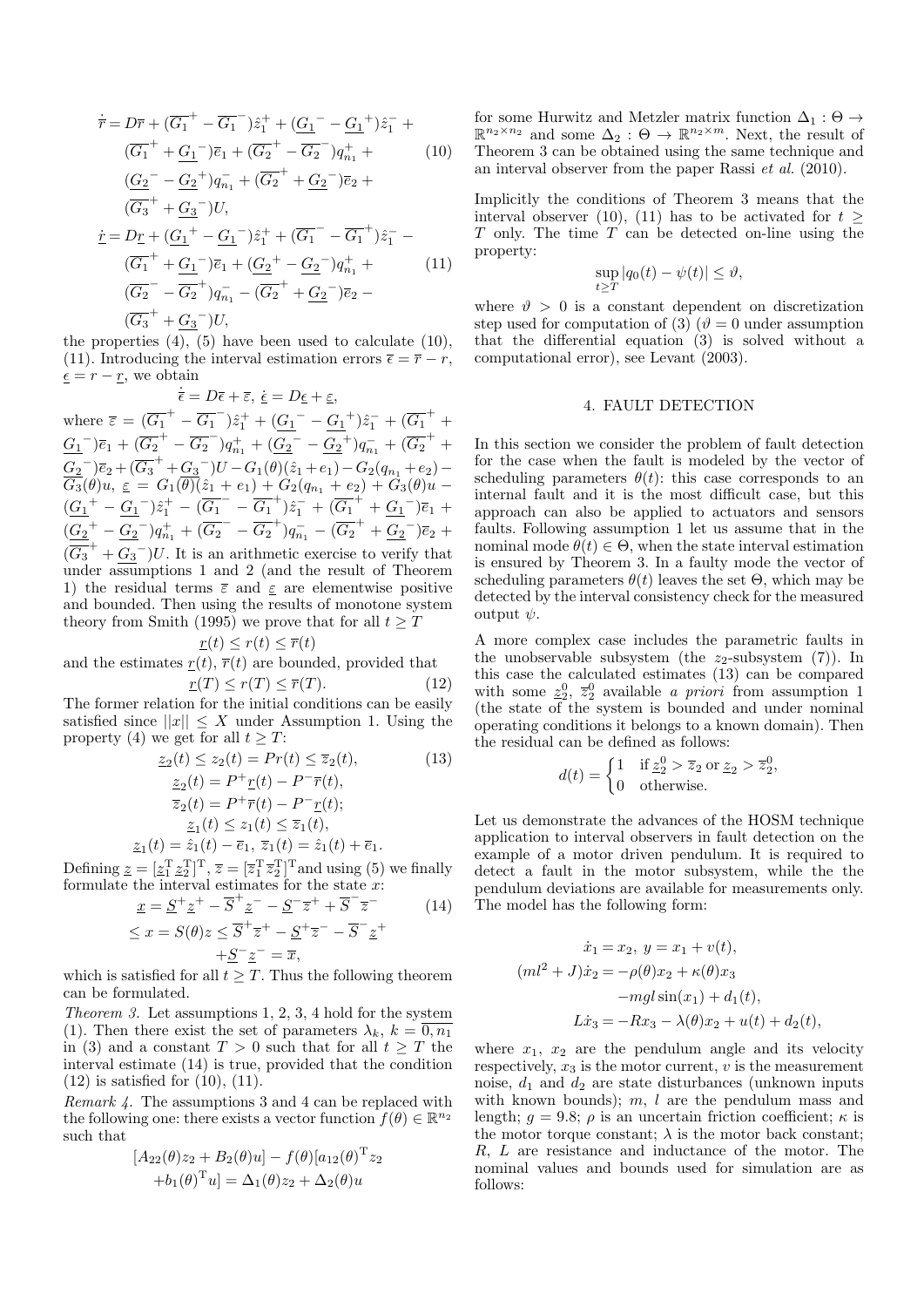$$
\dot{\overline{r}} = D\overline{r} + (\overline{G_1}^+ - \overline{G_1}^-)\hat{z}_1^+ + (\underline{G_1}^- - \underline{G_1}^+) \hat{z}_1^- +
$$
\n
$$
(\overline{G_1}^+ + \underline{G_1}^-)\overline{e}_1 + (\overline{G_2}^+ - \overline{G_2}^-)q_{n_1}^+ +
$$
\n
$$
(\underline{G_2}^- - \underline{G_2}^+)q_{n_1}^- + (\overline{G_2}^+ + \underline{G_2}^-)\overline{e}_2 +
$$
\n
$$
(\overline{G_3}^+ + \underline{G_3}^-)U,
$$
\n
$$
\dot{\underline{r}} = D\underline{r} + (\underline{G_1}^+ - \underline{G_1}^-)\hat{z}_1^+ + (\overline{G_1}^- - \overline{G_1}^+) \hat{z}_1^- -
$$
\n
$$
(\overline{G_1}^+ + \underline{G_1}^-)\overline{e}_1 + (\underline{G_2}^+ - \underline{G_2}^-)q_{n_1}^+ +
$$
\n
$$
(\overline{G_2}^- - \overline{G_2}^+)q_{n_1}^- - (\overline{G_2}^+ + \underline{G_2}^-)\overline{e}_2 -
$$
\n
$$
(\overline{G_3}^+ + \overline{G_3}^-)U,
$$

the properties  $(4)$ ,  $(5)$  have been used to calculate  $(10)$ , (11). Introducing the interval estimation errors  $\bar{\epsilon} = \bar{r} - r$ ,  $\underline{\epsilon} = r - \underline{r}$ , we obtain

 $\dot{\overline{\epsilon}} = D\overline{\epsilon} + \overline{\epsilon}, \ \dot{\underline{\epsilon}} = D\underline{\epsilon} + \underline{\epsilon},$ where  $\overline{\varepsilon} = (\overline{G_1}^+ - \overline{G_1}^-)\hat{z}_1^+ + (\underline{G_1}^- - \underline{G_1}^+) \hat{z}_1^- + (\overline{G_1}^+ + \overline{G_1}^-)$  $\underline{G_1}^-$ ) $\overline{e}_1 + (\overline{G_2}^+ - \overline{G_2}^-)q_{n_1}^+ + (\underline{G_2}^- - \underline{G_2}^+)q_{n_1}^- + (\overline{G_2}^+ +$  $\underline{G_2}^-$ ) $\overline{e}_2 + (\overline{G_3}^+ + \underline{G_3}^-)U - G_1(\theta)(\hat{z}_1 + e_1) - G_2(q_{n_1} + e_2) \overline{G_3}(\theta)u, \, \underline{\varepsilon} \, = \, G_1(\overline{\theta)}(\hat{z}_1 + e_1) + G_2(q_{n_1} + e_2) + G_3(\theta)u (\underline{G_1}^+ - \underline{G_1}^-) \hat{z}_1^+ - (\overline{G_1}^- - \overline{G_1}^+) \hat{z}_1^- + (\overline{G_1}^+ + \underline{G_1}^-) \overline{e}_1$  $(\underline{G_2}^+ - \underline{G_2}^-)q_{n_1}^+ + (\overline{G_2}^- - \overline{G_2}^+)q_{n_1}^- - (\overline{G_2}^+ + \underline{G_2}^-)\overline{e}_2 +$  $(\overline{G_3}^+$  +  $G_3^-)U$ . It is an arithmetic exercise to verify that under assumptions 1 and 2 (and the result of Theorem 1) the residual terms  $\bar{\varepsilon}$  and  $\varepsilon$  are elementwise positive and bounded. Then using the results of monotone system theory from Smith (1995) we prove that for all  $t > T$ 

$$
\underline{r}(t) \leq r(t) \leq \overline{r}(t)
$$

and the estimates  $r(t)$ ,  $\bar{r}(t)$  are bounded, provided that

$$
\underline{r}(T) \le r(T) \le \overline{r}(T). \tag{12}
$$

The former relation for the initial conditions can be easily satisfied since  $||x|| \leq X$  under Assumption 1. Using the property (4) we get for all  $t \geq T$ :

$$
\begin{aligned}\n\tilde{z}_2(t) &\leq z_2(t) = Pr(t) \leq \overline{z}_2(t), & (13) \\
\tilde{z}_2(t) &= P^+ \underline{r}(t) - P^- \overline{r}(t), \\
\overline{z}_2(t) &= P^+ \overline{r}(t) - P^- \underline{r}(t); \\
\tilde{z}_1(t) &\leq z_1(t) \leq \overline{z}_1(t), \\
\tilde{z}_1(t) &= \hat{z}_1(t) - \overline{e}_1, & \overline{z}_1(t) &= \hat{z}_1(t) + \overline{e}_1.\n\end{aligned}
$$

Defining  $\underline{z} = [\underline{z}_1^T \underline{z}_2^T]^T$ ,  $\overline{z} = [\overline{z}_1^T \overline{z}_2^T]^T$  and using (5) we finally formulate the interval estimates for the state  $x$ :

$$
\underline{x} = \underline{S}^+ \underline{z}^+ - \overline{S}^+ \underline{z}^- - \underline{S}^- \overline{z}^+ + \overline{S}^- \overline{z}^- \tag{14}
$$
\n
$$
\leq x - S(\theta) \leq \overline{S}^+ \overline{z}^+ - S^+ \overline{z}^- - \overline{S}^- \overline{z}^+ \end{math>
$$

$$
\leq x = S(\theta)z \leq \overline{S}^+\overline{z}^+ - \underline{S}^+\overline{z}^- - \overline{S}^-\underline{z}^+
$$
  
+
$$
\underline{S}^-\underline{z}^- = \overline{x},
$$

which is satisfied for all  $t \geq T$ . Thus the following theorem can be formulated.

Theorem 3. Let assumptions 1, 2, 3, 4 hold for the system (1). Then there exist the set of parameters  $\lambda_k$ ,  $k = 0, n_1$ in (3) and a constant  $T > 0$  such that for all  $t \geq T$  the interval estimate (14) is true, provided that the condition  $(12)$  is satisfied for  $(10)$ ,  $(11)$ .

Remark 4. The assumptions 3 and 4 can be replaced with the following one: there exists a vector function  $f(\theta) \in \mathbb{R}^{n_2}$ such that

$$
[A_{22}(\theta)z_2 + B_2(\theta)u] - f(\theta)[a_{12}(\theta)^T z_2+ b_1(\theta)^T u] = \Delta_1(\theta)z_2 + \Delta_2(\theta)u
$$

for some Hurwitz and Metzler matrix function  $\Delta_1 : \Theta \rightarrow$  $\mathbb{R}^{n_2 \times n_2}$  and some  $\Delta_2 : \Theta \to \mathbb{R}^{n_2 \times m}$ . Next, the result of Theorem 3 can be obtained using the same technique and an interval observer from the paper Rassi et al. (2010).

Implicitly the conditions of Theorem 3 means that the interval observer (10), (11) has to be activated for  $t >$  $T$  only. The time  $T$  can be detected on-line using the property:

$$
\sup_{t>T}|q_0(t)-\psi(t)|\leq \vartheta,
$$

where  $\vartheta > 0$  is a constant dependent on discretization step used for computation of (3) ( $\vartheta = 0$  under assumption that the differential equation (3) is solved without a computational error), see Levant (2003).

#### 4. FAULT DETECTION

In this section we consider the problem of fault detection for the case when the fault is modeled by the vector of scheduling parameters  $\theta(t)$ : this case corresponds to an internal fault and it is the most difficult case, but this approach can also be applied to actuators and sensors faults. Following assumption 1 let us assume that in the nominal mode  $\theta(t) \in \Theta$ , when the state interval estimation is ensured by Theorem 3. In a faulty mode the vector of scheduling parameters  $\theta(t)$  leaves the set  $\Theta$ , which may be detected by the interval consistency check for the measured output  $\psi$ .

A more complex case includes the parametric faults in the unobservable subsystem (the  $z_2$ -subsystem (7)). In this case the calculated estimates (13) can be compared with some  $\underline{z}_2^0$ ,  $\overline{z}_2^0$  available *a priori* from assumption 1 (the state of the system is bounded and under nominal operating conditions it belongs to a known domain). Then the residual can be defined as follows:

$$
d(t) = \begin{cases} 1 & \text{if } \underline{z}_2^0 > \overline{z}_2 \text{ or } \underline{z}_2 > \overline{z}_2^0, \\ 0 & \text{otherwise.} \end{cases}
$$

Let us demonstrate the advances of the HOSM technique application to interval observers in fault detection on the example of a motor driven pendulum. It is required to detect a fault in the motor subsystem, while the the pendulum deviations are available for measurements only. The model has the following form:

$$
\dot{x}_1 = x_2, \ y = x_1 + v(t), \n(ml^2 + J)\dot{x}_2 = -\rho(\theta)x_2 + \kappa(\theta)x_3 \n-mgl\sin(x_1) + d_1(t), \nL\dot{x}_3 = -Rx_3 - \lambda(\theta)x_2 + u(t) + d_2(t),
$$

where  $x_1$ ,  $x_2$  are the pendulum angle and its velocity respectively,  $x_3$  is the motor current,  $v$  is the measurement noise,  $d_1$  and  $d_2$  are state disturbances (unknown inputs with known bounds);  $m, l$  are the pendulum mass and length;  $q = 9.8$ ;  $\rho$  is an uncertain friction coefficient;  $\kappa$  is the motor torque constant;  $\lambda$  is the motor back constant; R, L are resistance and inductance of the motor. The nominal values and bounds used for simulation are as follows: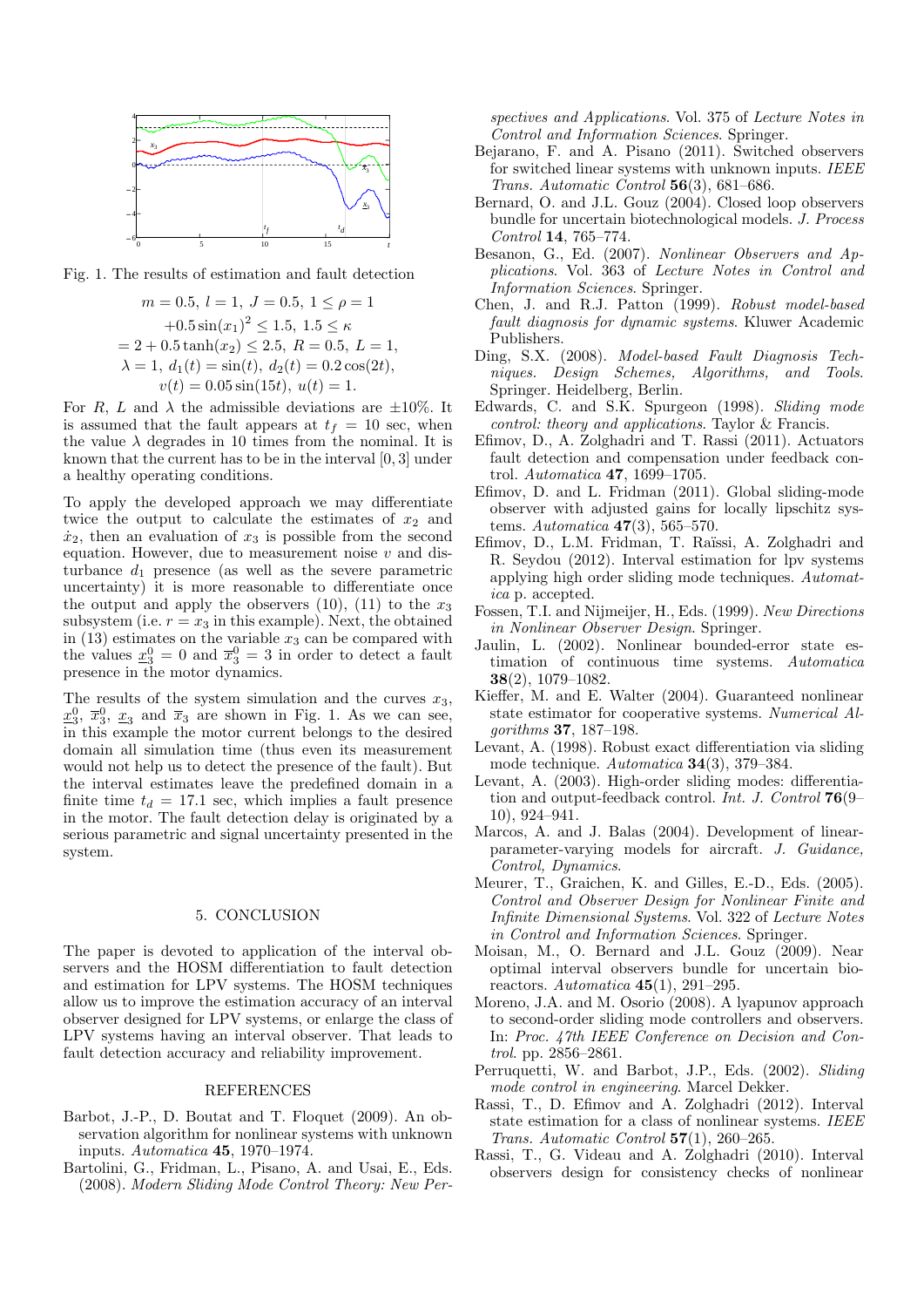

Fig. 1. The results of estimation and fault detection

$$
m = 0.5, l = 1, J = 0.5, 1 \le \rho = 1
$$
  
+0.5 sin( $x_1$ )<sup>2</sup>  $\le$  1.5, 1.5  $\le \kappa$   
= 2 + 0.5 tanh( $x_2$ )  $\le$  2.5, R = 0.5, L = 1,  
 $\lambda = 1$ ,  $d_1(t) = \sin(t)$ ,  $d_2(t) = 0.2 \cos(2t)$ ,  
 $v(t) = 0.05 \sin(15t)$ ,  $u(t) = 1$ .

For R, L and  $\lambda$  the admissible deviations are  $\pm 10\%$ . It is assumed that the fault appears at  $t_f = 10$  sec, when the value  $\lambda$  degrades in 10 times from the nominal. It is known that the current has to be in the interval [0, 3] under a healthy operating conditions.

To apply the developed approach we may differentiate twice the output to calculate the estimates of  $x_2$  and  $\dot{x}_2$ , then an evaluation of  $x_3$  is possible from the second equation. However, due to measurement noise  $v$  and disturbance  $d_1$  presence (as well as the severe parametric uncertainty) it is more reasonable to differentiate once the output and apply the observers (10), (11) to the  $x_3$ subsystem (i.e.  $r = x_3$  in this example). Next, the obtained in  $(13)$  estimates on the variable  $x_3$  can be compared with the values  $\underline{x}_3^0 = 0$  and  $\overline{x}_3^0 = 3$  in order to detect a fault presence in the motor dynamics.

The results of the system simulation and the curves  $x_3$ ,  $\underline{x}_3^0$ ,  $\overline{x}_3^0$ ,  $\underline{x}_3$  and  $\overline{x}_3$  are shown in Fig. 1. As we can see, in this example the motor current belongs to the desired domain all simulation time (thus even its measurement would not help us to detect the presence of the fault). But the interval estimates leave the predefined domain in a finite time  $t_d = 17.1$  sec, which implies a fault presence in the motor. The fault detection delay is originated by a serious parametric and signal uncertainty presented in the system.

#### 5. CONCLUSION

The paper is devoted to application of the interval observers and the HOSM differentiation to fault detection and estimation for LPV systems. The HOSM techniques allow us to improve the estimation accuracy of an interval observer designed for LPV systems, or enlarge the class of LPV systems having an interval observer. That leads to fault detection accuracy and reliability improvement.

#### REFERENCES

- Barbot, J.-P., D. Boutat and T. Floquet (2009). An observation algorithm for nonlinear systems with unknown inputs. Automatica 45, 1970–1974.
- Bartolini, G., Fridman, L., Pisano, A. and Usai, E., Eds. (2008). Modern Sliding Mode Control Theory: New Per-

spectives and Applications. Vol. 375 of Lecture Notes in Control and Information Sciences. Springer.

- Bejarano, F. and A. Pisano (2011). Switched observers for switched linear systems with unknown inputs. IEEE Trans. Automatic Control 56(3), 681–686.
- Bernard, O. and J.L. Gouz (2004). Closed loop observers bundle for uncertain biotechnological models. J. Process Control 14, 765–774.
- Besanon, G., Ed. (2007). Nonlinear Observers and Applications. Vol. 363 of Lecture Notes in Control and Information Sciences. Springer.
- Chen, J. and R.J. Patton (1999). Robust model-based fault diagnosis for dynamic systems. Kluwer Academic Publishers.
- Ding, S.X. (2008). Model-based Fault Diagnosis Techniques. Design Schemes, Algorithms, and Tools. Springer. Heidelberg, Berlin.
- Edwards, C. and S.K. Spurgeon (1998). Sliding mode control: theory and applications. Taylor & Francis.
- Efimov, D., A. Zolghadri and T. Rassi (2011). Actuators fault detection and compensation under feedback control. Automatica 47, 1699–1705.
- Efimov, D. and L. Fridman (2011). Global sliding-mode observer with adjusted gains for locally lipschitz systems. Automatica  $47(3)$ , 565–570.
- Efimov, D., L.M. Fridman, T. Raïssi, A. Zolghadri and R. Seydou (2012). Interval estimation for lpv systems applying high order sliding mode techniques. Automatica p. accepted.
- Fossen, T.I. and Nijmeijer, H., Eds. (1999). New Directions in Nonlinear Observer Design. Springer.
- Jaulin, L. (2002). Nonlinear bounded-error state estimation of continuous time systems. Automatica 38(2), 1079–1082.
- Kieffer, M. and E. Walter (2004). Guaranteed nonlinear state estimator for cooperative systems. Numerical Algorithms 37, 187–198.
- Levant, A. (1998). Robust exact differentiation via sliding mode technique. Automatica 34(3), 379–384.
- Levant, A. (2003). High-order sliding modes: differentiation and output-feedback control. Int. J. Control 76(9– 10), 924–941.
- Marcos, A. and J. Balas (2004). Development of linearparameter-varying models for aircraft. J. Guidance, Control, Dynamics.
- Meurer, T., Graichen, K. and Gilles, E.-D., Eds. (2005). Control and Observer Design for Nonlinear Finite and Infinite Dimensional Systems. Vol. 322 of Lecture Notes in Control and Information Sciences. Springer.
- Moisan, M., O. Bernard and J.L. Gouz (2009). Near optimal interval observers bundle for uncertain bioreactors. Automatica  $45(1)$ , 291-295.
- Moreno, J.A. and M. Osorio (2008). A lyapunov approach to second-order sliding mode controllers and observers. In: Proc. 47th IEEE Conference on Decision and Control. pp. 2856–2861.
- Perruquetti, W. and Barbot, J.P., Eds. (2002). Sliding mode control in engineering. Marcel Dekker.
- Rassi, T., D. Efimov and A. Zolghadri (2012). Interval state estimation for a class of nonlinear systems. IEEE Trans. Automatic Control  $57(1)$ , 260-265.
- Rassi, T., G. Videau and A. Zolghadri (2010). Interval observers design for consistency checks of nonlinear